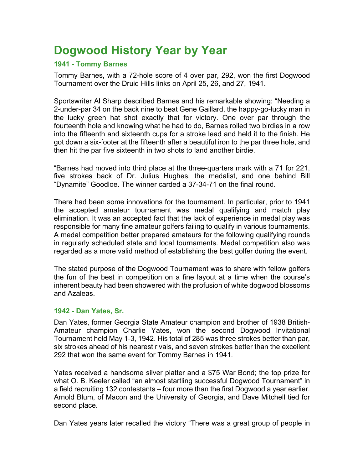# **Dogwood History Year by Year**

# **1941 - Tommy Barnes**

Tommy Barnes, with a 72-hole score of 4 over par, 292, won the first Dogwood Tournament over the Druid Hills links on April 25, 26, and 27, 1941.

Sportswriter Al Sharp described Barnes and his remarkable showing: "Needing a 2-under-par 34 on the back nine to beat Gene Gaillard, the happy-go-lucky man in the lucky green hat shot exactly that for victory. One over par through the fourteenth hole and knowing what he had to do, Barnes rolled two birdies in a row into the fifteenth and sixteenth cups for a stroke lead and held it to the finish. He got down a six-footer at the fifteenth after a beautiful iron to the par three hole, and then hit the par five sixteenth in two shots to land another birdie.

"Barnes had moved into third place at the three-quarters mark with a 71 for 221, five strokes back of Dr. Julius Hughes, the medalist, and one behind Bill "Dynamite" Goodloe. The winner carded a 37-34-71 on the final round.

There had been some innovations for the tournament. In particular, prior to 1941 the accepted amateur tournament was medal qualifying and match play elimination. It was an accepted fact that the lack of experience in medal play was responsible for many fine amateur golfers failing to qualify in various tournaments. A medal competition better prepared amateurs for the following qualifying rounds in regularly scheduled state and local tournaments. Medal competition also was regarded as a more valid method of establishing the best golfer during the event.

The stated purpose of the Dogwood Tournament was to share with fellow golfers the fun of the best in competition on a fine layout at a time when the course's inherent beauty had been showered with the profusion of white dogwood blossoms and Azaleas.

#### **1942 - Dan Yates, Sr.**

Dan Yates, former Georgia State Amateur champion and brother of 1938 British-Amateur champion Charlie Yates, won the second Dogwood Invitational Tournament held May 1-3, 1942. His total of 285 was three strokes better than par, six strokes ahead of his nearest rivals, and seven strokes better than the excellent 292 that won the same event for Tommy Barnes in 1941.

Yates received a handsome silver platter and a \$75 War Bond; the top prize for what O. B. Keeler called "an almost startling successful Dogwood Tournament" in a field recruiting 132 contestants – four more than the first Dogwood a year earlier. Arnold Blum, of Macon and the University of Georgia, and Dave Mitchell tied for second place.

Dan Yates years later recalled the victory "There was a great group of people in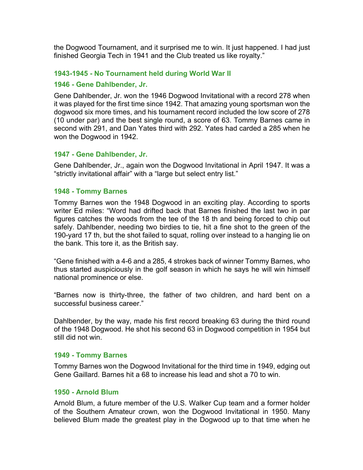the Dogwood Tournament, and it surprised me to win. It just happened. I had just finished Georgia Tech in 1941 and the Club treated us like royalty."

# **1943-1945 - No Tournament held during World War II**

#### **1946 - Gene Dahlbender, Jr.**

Gene Dahlbender, Jr. won the 1946 Dogwood Invitational with a record 278 when it was played for the first time since 1942. That amazing young sportsman won the dogwood six more times, and his tournament record included the low score of 278 (10 under par) and the best single round, a score of 63. Tommy Barnes came in second with 291, and Dan Yates third with 292. Yates had carded a 285 when he won the Dogwood in 1942.

# **1947 - Gene Dahlbender, Jr.**

Gene Dahlbender, Jr., again won the Dogwood Invitational in April 1947. It was a "strictly invitational affair" with a "large but select entry list."

#### **1948 - Tommy Barnes**

Tommy Barnes won the 1948 Dogwood in an exciting play. According to sports writer Ed miles: "Word had drifted back that Barnes finished the last two in par figures catches the woods from the tee of the 18 th and being forced to chip out safely. Dahlbender, needing two birdies to tie, hit a fine shot to the green of the 190-yard 17 th, but the shot failed to squat, rolling over instead to a hanging lie on the bank. This tore it, as the British say.

"Gene finished with a 4-6 and a 285, 4 strokes back of winner Tommy Barnes, who thus started auspiciously in the golf season in which he says he will win himself national prominence or else.

"Barnes now is thirty-three, the father of two children, and hard bent on a successful business career."

Dahlbender, by the way, made his first record breaking 63 during the third round of the 1948 Dogwood. He shot his second 63 in Dogwood competition in 1954 but still did not win.

#### **1949 - Tommy Barnes**

Tommy Barnes won the Dogwood Invitational for the third time in 1949, edging out Gene Gaillard. Barnes hit a 68 to increase his lead and shot a 70 to win.

#### **1950 - Arnold Blum**

Arnold Blum, a future member of the U.S. Walker Cup team and a former holder of the Southern Amateur crown, won the Dogwood Invitational in 1950. Many believed Blum made the greatest play in the Dogwood up to that time when he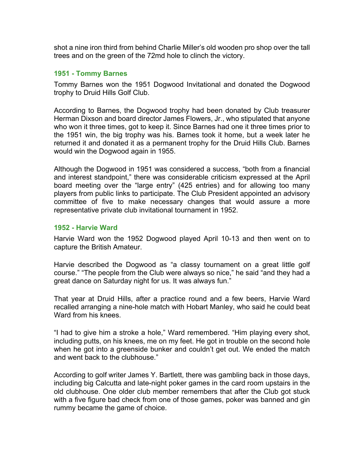shot a nine iron third from behind Charlie Miller's old wooden pro shop over the tall trees and on the green of the 72md hole to clinch the victory.

# **1951 - Tommy Barnes**

Tommy Barnes won the 1951 Dogwood Invitational and donated the Dogwood trophy to Druid Hills Golf Club.

According to Barnes, the Dogwood trophy had been donated by Club treasurer Herman Dixson and board director James Flowers, Jr., who stipulated that anyone who won it three times, got to keep it. Since Barnes had one it three times prior to the 1951 win, the big trophy was his. Barnes took it home, but a week later he returned it and donated it as a permanent trophy for the Druid Hills Club. Barnes would win the Dogwood again in 1955.

Although the Dogwood in 1951 was considered a success, "both from a financial and interest standpoint," there was considerable criticism expressed at the April board meeting over the "large entry" (425 entries) and for allowing too many players from public links to participate. The Club President appointed an advisory committee of five to make necessary changes that would assure a more representative private club invitational tournament in 1952.

# **1952 - Harvie Ward**

Harvie Ward won the 1952 Dogwood played April 10-13 and then went on to capture the British Amateur.

Harvie described the Dogwood as "a classy tournament on a great little golf course." "The people from the Club were always so nice," he said "and they had a great dance on Saturday night for us. It was always fun."

That year at Druid Hills, after a practice round and a few beers, Harvie Ward recalled arranging a nine-hole match with Hobart Manley, who said he could beat Ward from his knees.

"I had to give him a stroke a hole," Ward remembered. "Him playing every shot, including putts, on his knees, me on my feet. He got in trouble on the second hole when he got into a greenside bunker and couldn't get out. We ended the match and went back to the clubhouse."

According to golf writer James Y. Bartlett, there was gambling back in those days, including big Calcutta and late-night poker games in the card room upstairs in the old clubhouse. One older club member remembers that after the Club got stuck with a five figure bad check from one of those games, poker was banned and gin rummy became the game of choice.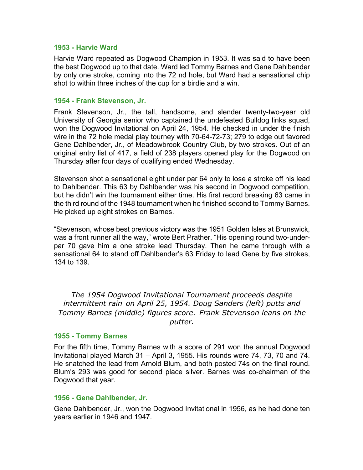#### **1953 - Harvie Ward**

Harvie Ward repeated as Dogwood Champion in 1953. It was said to have been the best Dogwood up to that date. Ward led Tommy Barnes and Gene Dahlbender by only one stroke, coming into the 72 nd hole, but Ward had a sensational chip shot to within three inches of the cup for a birdie and a win.

#### **1954 - Frank Stevenson, Jr.**

Frank Stevenson, Jr., the tall, handsome, and slender twenty-two-year old University of Georgia senior who captained the undefeated Bulldog links squad, won the Dogwood Invitational on April 24, 1954. He checked in under the finish wire in the 72 hole medal play tourney with 70-64-72-73; 279 to edge out favored Gene Dahlbender, Jr., of Meadowbrook Country Club, by two strokes. Out of an original entry list of 417, a field of 238 players opened play for the Dogwood on Thursday after four days of qualifying ended Wednesday.

Stevenson shot a sensational eight under par 64 only to lose a stroke off his lead to Dahlbender. This 63 by Dahlbender was his second in Dogwood competition, but he didn't win the tournament either time. His first record breaking 63 came in the third round of the 1948 tournament when he finished second to Tommy Barnes. He picked up eight strokes on Barnes.

"Stevenson, whose best previous victory was the 1951 Golden Isles at Brunswick, was a front runner all the way," wrote Bert Prather. "His opening round two-underpar 70 gave him a one stroke lead Thursday. Then he came through with a sensational 64 to stand off Dahlbender's 63 Friday to lead Gene by five strokes, 134 to 139.

*The 1954 Dogwood Invitational Tournament proceeds despite intermittent rain on April 25, 1954. Doug Sanders (left) putts and Tommy Barnes (middle) figures score. Frank Stevenson leans on the putter.*

#### **1955 - Tommy Barnes**

For the fifth time, Tommy Barnes with a score of 291 won the annual Dogwood Invitational played March 31 – April 3, 1955. His rounds were 74, 73, 70 and 74. He snatched the lead from Arnold Blum, and both posted 74s on the final round. Blum's 293 was good for second place silver. Barnes was co-chairman of the Dogwood that year.

#### **1956 - Gene Dahlbender, Jr.**

Gene Dahlbender, Jr., won the Dogwood Invitational in 1956, as he had done ten years earlier in 1946 and 1947.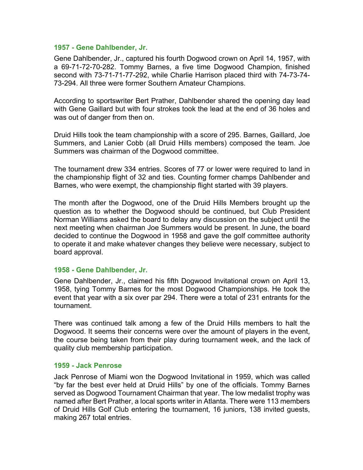#### **1957 - Gene Dahlbender, Jr.**

Gene Dahlbender, Jr., captured his fourth Dogwood crown on April 14, 1957, with a 69-71-72-70-282. Tommy Barnes, a five time Dogwood Champion, finished second with 73-71-71-77-292, while Charlie Harrison placed third with 74-73-74- 73-294. All three were former Southern Amateur Champions.

According to sportswriter Bert Prather, Dahlbender shared the opening day lead with Gene Gaillard but with four strokes took the lead at the end of 36 holes and was out of danger from then on.

Druid Hills took the team championship with a score of 295. Barnes, Gaillard, Joe Summers, and Lanier Cobb (all Druid Hills members) composed the team. Joe Summers was chairman of the Dogwood committee.

The tournament drew 334 entries. Scores of 77 or lower were required to land in the championship flight of 32 and ties. Counting former champs Dahlbender and Barnes, who were exempt, the championship flight started with 39 players.

The month after the Dogwood, one of the Druid Hills Members brought up the question as to whether the Dogwood should be continued, but Club President Norman Williams asked the board to delay any discussion on the subject until the next meeting when chairman Joe Summers would be present. In June, the board decided to continue the Dogwood in 1958 and gave the golf committee authority to operate it and make whatever changes they believe were necessary, subject to board approval.

#### **1958 - Gene Dahlbender, Jr.**

Gene Dahlbender, Jr., claimed his fifth Dogwood Invitational crown on April 13, 1958, tying Tommy Barnes for the most Dogwood Championships. He took the event that year with a six over par 294. There were a total of 231 entrants for the tournament.

There was continued talk among a few of the Druid Hills members to halt the Dogwood. It seems their concerns were over the amount of players in the event, the course being taken from their play during tournament week, and the lack of quality club membership participation.

#### **1959 - Jack Penrose**

Jack Penrose of Miami won the Dogwood Invitational in 1959, which was called "by far the best ever held at Druid Hills" by one of the officials. Tommy Barnes served as Dogwood Tournament Chairman that year. The low medalist trophy was named after Bert Prather, a local sports writer in Atlanta. There were 113 members of Druid Hills Golf Club entering the tournament, 16 juniors, 138 invited guests, making 267 total entries.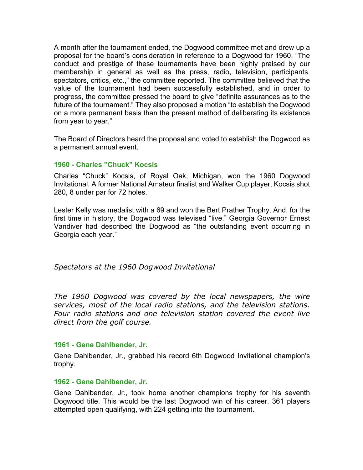A month after the tournament ended, the Dogwood committee met and drew up a proposal for the board's consideration in reference to a Dogwood for 1960. "The conduct and prestige of these tournaments have been highly praised by our membership in general as well as the press, radio, television, participants, spectators, critics, etc.," the committee reported. The committee believed that the value of the tournament had been successfully established, and in order to progress, the committee pressed the board to give "definite assurances as to the future of the tournament." They also proposed a motion "to establish the Dogwood on a more permanent basis than the present method of deliberating its existence from year to year."

The Board of Directors heard the proposal and voted to establish the Dogwood as a permanent annual event.

# **1960 - Charles "Chuck" Kocsis**

Charles "Chuck" Kocsis, of Royal Oak, Michigan, won the 1960 Dogwood Invitational. A former National Amateur finalist and Walker Cup player, Kocsis shot 280, 8 under par for 72 holes.

Lester Kelly was medalist with a 69 and won the Bert Prather Trophy. And, for the first time in history, the Dogwood was televised "live." Georgia Governor Ernest Vandiver had described the Dogwood as "the outstanding event occurring in Georgia each year."

*Spectators at the 1960 Dogwood Invitational*

*The 1960 Dogwood was covered by the local newspapers, the wire services, most of the local radio stations, and the television stations. Four radio stations and one television station covered the event live direct from the golf course.*

# **1961 - Gene Dahlbender, Jr.**

Gene Dahlbender, Jr., grabbed his record 6th Dogwood Invitational champion's trophy.

# **1962 - Gene Dahlbender, Jr.**

Gene Dahlbender, Jr., took home another champions trophy for his seventh Dogwood title. This would be the last Dogwood win of his career. 361 players attempted open qualifying, with 224 getting into the tournament.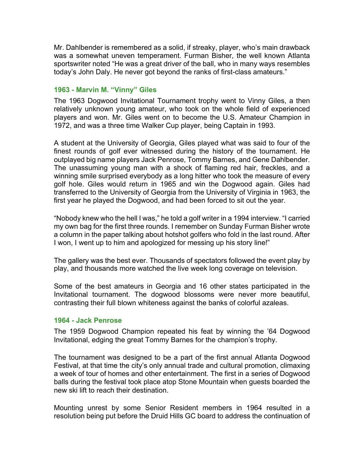Mr. Dahlbender is remembered as a solid, if streaky, player, who's main drawback was a somewhat uneven temperament. Furman Bisher, the well known Atlanta sportswriter noted "He was a great driver of the ball, who in many ways resembles today's John Daly. He never got beyond the ranks of first-class amateurs."

# **1963 - Marvin M. "Vinny" Giles**

The 1963 Dogwood Invitational Tournament trophy went to Vinny Giles, a then relatively unknown young amateur, who took on the whole field of experienced players and won. Mr. Giles went on to become the U.S. Amateur Champion in 1972, and was a three time Walker Cup player, being Captain in 1993.

A student at the University of Georgia, Giles played what was said to four of the finest rounds of golf ever witnessed during the history of the tournament. He outplayed big name players Jack Penrose, Tommy Barnes, and Gene Dahlbender. The unassuming young man with a shock of flaming red hair, freckles, and a winning smile surprised everybody as a long hitter who took the measure of every golf hole. Giles would return in 1965 and win the Dogwood again. Giles had transferred to the University of Georgia from the University of Virginia in 1963, the first year he played the Dogwood, and had been forced to sit out the year.

"Nobody knew who the hell I was," he told a golf writer in a 1994 interview. "I carried my own bag for the first three rounds. I remember on Sunday Furman Bisher wrote a column in the paper talking about hotshot golfers who fold in the last round. After I won, I went up to him and apologized for messing up his story line!"

The gallery was the best ever. Thousands of spectators followed the event play by play, and thousands more watched the live week long coverage on television.

Some of the best amateurs in Georgia and 16 other states participated in the Invitational tournament. The dogwood blossoms were never more beautiful, contrasting their full blown whiteness against the banks of colorful azaleas.

#### **1964 - Jack Penrose**

The 1959 Dogwood Champion repeated his feat by winning the '64 Dogwood Invitational, edging the great Tommy Barnes for the champion's trophy.

The tournament was designed to be a part of the first annual Atlanta Dogwood Festival, at that time the city's only annual trade and cultural promotion, climaxing a week of tour of homes and other entertainment. The first in a series of Dogwood balls during the festival took place atop Stone Mountain when guests boarded the new ski lift to reach their destination.

Mounting unrest by some Senior Resident members in 1964 resulted in a resolution being put before the Druid Hills GC board to address the continuation of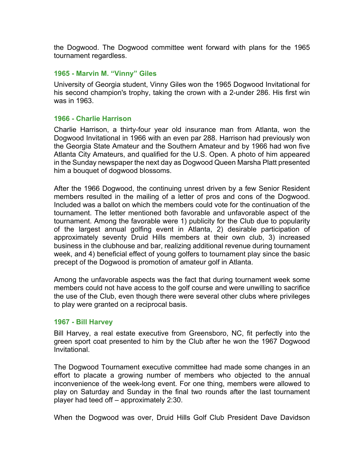the Dogwood. The Dogwood committee went forward with plans for the 1965 tournament regardless.

# **1965 - Marvin M. "Vinny" Giles**

University of Georgia student, Vinny Giles won the 1965 Dogwood Invitational for his second champion's trophy, taking the crown with a 2-under 286. His first win was in 1963.

# **1966 - Charlie Harrison**

Charlie Harrison, a thirty-four year old insurance man from Atlanta, won the Dogwood Invitational in 1966 with an even par 288. Harrison had previously won the Georgia State Amateur and the Southern Amateur and by 1966 had won five Atlanta City Amateurs, and qualified for the U.S. Open. A photo of him appeared in the Sunday newspaper the next day as Dogwood Queen Marsha Platt presented him a bouquet of dogwood blossoms.

After the 1966 Dogwood, the continuing unrest driven by a few Senior Resident members resulted in the mailing of a letter of pros and cons of the Dogwood. Included was a ballot on which the members could vote for the continuation of the tournament. The letter mentioned both favorable and unfavorable aspect of the tournament. Among the favorable were 1) publicity for the Club due to popularity of the largest annual golfing event in Atlanta, 2) desirable participation of approximately seventy Druid Hills members at their own club, 3) increased business in the clubhouse and bar, realizing additional revenue during tournament week, and 4) beneficial effect of young golfers to tournament play since the basic precept of the Dogwood is promotion of amateur golf in Atlanta.

Among the unfavorable aspects was the fact that during tournament week some members could not have access to the golf course and were unwilling to sacrifice the use of the Club, even though there were several other clubs where privileges to play were granted on a reciprocal basis.

#### **1967 - Bill Harvey**

Bill Harvey, a real estate executive from Greensboro, NC, fit perfectly into the green sport coat presented to him by the Club after he won the 1967 Dogwood Invitational.

The Dogwood Tournament executive committee had made some changes in an effort to placate a growing number of members who objected to the annual inconvenience of the week-long event. For one thing, members were allowed to play on Saturday and Sunday in the final two rounds after the last tournament player had teed off – approximately 2:30.

When the Dogwood was over, Druid Hills Golf Club President Dave Davidson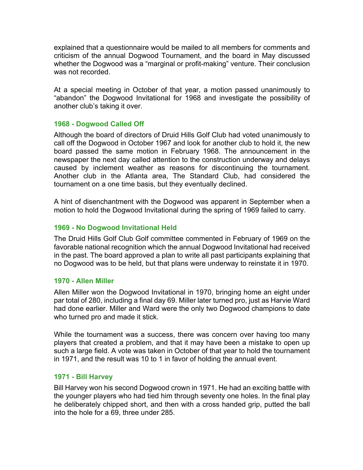explained that a questionnaire would be mailed to all members for comments and criticism of the annual Dogwood Tournament, and the board in May discussed whether the Dogwood was a "marginal or profit-making" venture. Their conclusion was not recorded.

At a special meeting in October of that year, a motion passed unanimously to "abandon" the Dogwood Invitational for 1968 and investigate the possibility of another club's taking it over.

# **1968 - Dogwood Called Off**

Although the board of directors of Druid Hills Golf Club had voted unanimously to call off the Dogwood in October 1967 and look for another club to hold it, the new board passed the same motion in February 1968. The announcement in the newspaper the next day called attention to the construction underway and delays caused by inclement weather as reasons for discontinuing the tournament. Another club in the Atlanta area, The Standard Club, had considered the tournament on a one time basis, but they eventually declined.

A hint of disenchantment with the Dogwood was apparent in September when a motion to hold the Dogwood Invitational during the spring of 1969 failed to carry.

# **1969 - No Dogwood Invitational Held**

The Druid Hills Golf Club Golf committee commented in February of 1969 on the favorable national recognition which the annual Dogwood Invitational had received in the past. The board approved a plan to write all past participants explaining that no Dogwood was to be held, but that plans were underway to reinstate it in 1970.

# **1970 - Allen Miller**

Allen Miller won the Dogwood Invitational in 1970, bringing home an eight under par total of 280, including a final day 69. Miller later turned pro, just as Harvie Ward had done earlier. Miller and Ward were the only two Dogwood champions to date who turned pro and made it stick.

While the tournament was a success, there was concern over having too many players that created a problem, and that it may have been a mistake to open up such a large field. A vote was taken in October of that year to hold the tournament in 1971, and the result was 10 to 1 in favor of holding the annual event.

# **1971 - Bill Harvey**

Bill Harvey won his second Dogwood crown in 1971. He had an exciting battle with the younger players who had tied him through seventy one holes. In the final play he deliberately chipped short, and then with a cross handed grip, putted the ball into the hole for a 69, three under 285.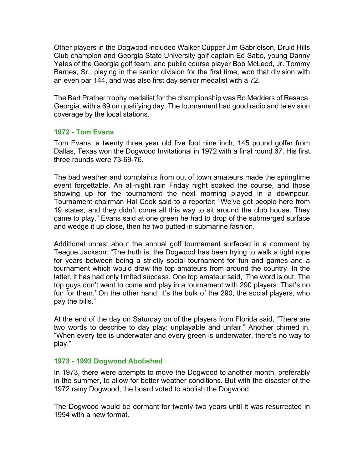Other players in the Dogwood included Walker Cupper Jim Gabrielson, Druid Hills Club champion and Georgia State University golf captain Ed Sabo, young Danny Yates of the Georgia golf team, and public course player Bob McLeod, Jr. Tommy Barnes, Sr., playing in the senior division for the first time, won that division with an even par 144, and was also first day senior medalist with a 72.

The Bert Prather trophy medalist for the championship was Bo Medders of Resaca, Georgia, with a 69 on qualifying day. The tournament had good radio and television coverage by the local stations.

# **1972 - Tom Evans**

Tom Evans, a twenty three year old five foot nine inch, 145 pound golfer from Dallas, Texas won the Dogwood Invitational in 1972 with a final round 67. His first three rounds were 73-69-76.

The bad weather and complaints from out of town amateurs made the springtime event forgettable. An all-night rain Friday night soaked the course, and those showing up for the tournament the next morning played in a downpour. Tournament chairman Hal Cook said to a reporter: "We've got people here from 19 states, and they didn't come all this way to sit around the club house. They came to play." Evans said at one green he had to drop of the submerged surface and wedge it up close, then he two putted in submarine fashion.

Additional unrest about the annual golf tournament surfaced in a comment by Teague Jackson: "The truth is, the Dogwood has been trying to walk a tight rope for years between being a strictly social tournament for fun and games and a tournament which would draw the top amateurs from around the country. In the latter, it has had only limited success. One top amateur said, 'The word is out. The top guys don't want to come and play in a tournament with 290 players. That's no fun for them.' On the other hand, it's the bulk of the 290, the social players, who pay the bills."

At the end of the day on Saturday on of the players from Florida said, "There are two words to describe to day play: unplayable and unfair." Another chimed in, "When every tee is underwater and every green is underwater, there's no way to play."

# **1973 - 1993 Dogwood Abolished**

In 1973, there were attempts to move the Dogwood to another month, preferably in the summer, to allow for better weather conditions. But with the disaster of the 1972 rainy Dogwood, the board voted to abolish the Dogwood.

The Dogwood would be dormant for twenty-two years until it was resurrected in 1994 with a new format.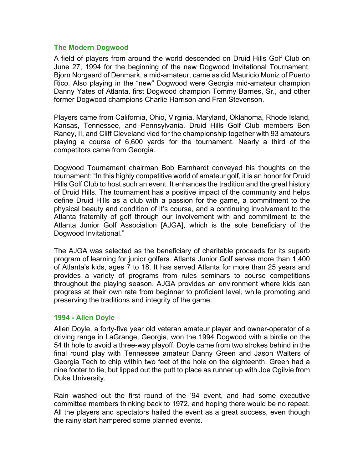# **The Modern Dogwood**

A field of players from around the world descended on Druid Hills Golf Club on June 27, 1994 for the beginning of the new Dogwood Invitational Tournament. Bjorn Norgaard of Denmark, a mid-amateur, came as did Mauricio Muniz of Puerto Rico. Also playing in the "new" Dogwood were Georgia mid-amateur champion Danny Yates of Atlanta, first Dogwood champion Tommy Barnes, Sr., and other former Dogwood champions Charlie Harrison and Fran Stevenson.

Players came from California, Ohio, Virginia, Maryland, Oklahoma, Rhode Island, Kansas, Tennessee, and Pennsylvania. Druid Hills Golf Club members Ben Raney, II, and Cliff Cleveland vied for the championship together with 93 amateurs playing a course of 6,600 yards for the tournament. Nearly a third of the competitors came from Georgia.

Dogwood Tournament chairman Bob Earnhardt conveyed his thoughts on the tournament: "In this highly competitive world of amateur golf, it is an honor for Druid Hills Golf Club to host such an event. It enhances the tradition and the great history of Druid Hills. The tournament has a positive impact of the community and helps define Druid Hills as a club with a passion for the game, a commitment to the physical beauty and condition of it's course, and a continuing involvement to the Atlanta fraternity of golf through our involvement with and commitment to the Atlanta Junior Golf Association [AJGA], which is the sole beneficiary of the Dogwood Invitational."

The AJGA was selected as the beneficiary of charitable proceeds for its superb program of learning for junior golfers. Atlanta Junior Golf serves more than 1,400 of Atlanta's kids, ages 7 to 18. It has served Atlanta for more than 25 years and provides a variety of programs from rules seminars to course competitions throughout the playing season. AJGA provides an environment where kids can progress at their own rate from beginner to proficient level, while promoting and preserving the traditions and integrity of the game.

#### **1994 - Allen Doyle**

Allen Doyle, a forty-five year old veteran amateur player and owner-operator of a driving range in LaGrange, Georgia, won the 1994 Dogwood with a birdie on the 54 th hole to avoid a three-way playoff. Doyle came from two strokes behind in the final round play with Tennessee amateur Danny Green and Jason Walters of Georgia Tech to chip within two feet of the hole on the eighteenth. Green had a nine footer to tie, but lipped out the putt to place as runner up with Joe Ogilvie from Duke University.

Rain washed out the first round of the '94 event, and had some executive committee members thinking back to 1972, and hoping there would be no repeat. All the players and spectators hailed the event as a great success, even though the rainy start hampered some planned events.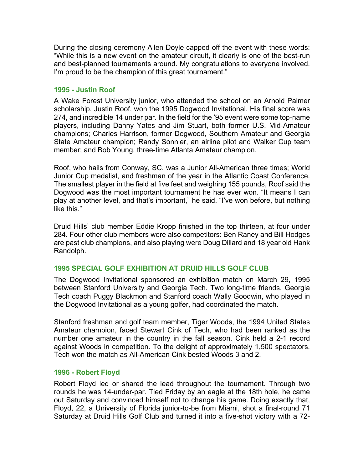During the closing ceremony Allen Doyle capped off the event with these words: "While this is a new event on the amateur circuit, it clearly is one of the best-run and best-planned tournaments around. My congratulations to everyone involved. I'm proud to be the champion of this great tournament."

# **1995 - Justin Roof**

A Wake Forest University junior, who attended the school on an Arnold Palmer scholarship, Justin Roof, won the 1995 Dogwood Invitational. His final score was 274, and incredible 14 under par. In the field for the '95 event were some top-name players, including Danny Yates and Jim Stuart, both former U.S. Mid-Amateur champions; Charles Harrison, former Dogwood, Southern Amateur and Georgia State Amateur champion; Randy Sonnier, an airline pilot and Walker Cup team member; and Bob Young, three-time Atlanta Amateur champion.

Roof, who hails from Conway, SC, was a Junior All-American three times; World Junior Cup medalist, and freshman of the year in the Atlantic Coast Conference. The smallest player in the field at five feet and weighing 155 pounds, Roof said the Dogwood was the most important tournament he has ever won. "It means I can play at another level, and that's important," he said. "I've won before, but nothing like this."

Druid Hills' club member Eddie Kropp finished in the top thirteen, at four under 284. Four other club members were also competitors: Ben Raney and Bill Hodges are past club champions, and also playing were Doug Dillard and 18 year old Hank Randolph.

# **1995 SPECIAL GOLF EXHIBITION AT DRUID HILLS GOLF CLUB**

The Dogwood Invitational sponsored an exhibition match on March 29, 1995 between Stanford University and Georgia Tech. Two long-time friends, Georgia Tech coach Puggy Blackmon and Stanford coach Wally Goodwin, who played in the Dogwood Invitational as a young golfer, had coordinated the match.

Stanford freshman and golf team member, Tiger Woods, the 1994 United States Amateur champion, faced Stewart Cink of Tech, who had been ranked as the number one amateur in the country in the fall season. Cink held a 2-1 record against Woods in competition. To the delight of approximately 1,500 spectators, Tech won the match as All-American Cink bested Woods 3 and 2.

# **1996 - Robert Floyd**

Robert Floyd led or shared the lead throughout the tournament. Through two rounds he was 14-under-par. Tied Friday by an eagle at the 18th hole, he came out Saturday and convinced himself not to change his game. Doing exactly that, Floyd, 22, a University of Florida junior-to-be from Miami, shot a final-round 71 Saturday at Druid Hills Golf Club and turned it into a five-shot victory with a 72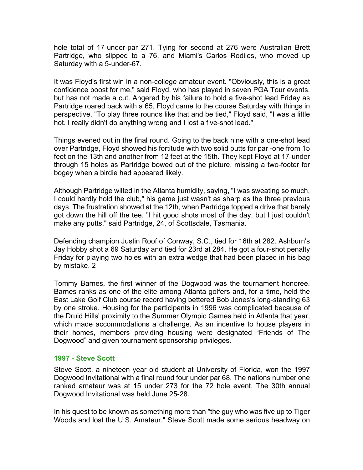hole total of 17-under-par 271. Tying for second at 276 were Australian Brett Partridge, who slipped to a 76, and Miami's Carlos Rodiles, who moved up Saturday with a 5-under-67.

It was Floyd's first win in a non-college amateur event. "Obviously, this is a great confidence boost for me," said Floyd, who has played in seven PGA Tour events, but has not made a cut. Angered by his failure to hold a five-shot lead Friday as Partridge roared back with a 65, Floyd came to the course Saturday with things in perspective. "To play three rounds like that and be tied," Floyd said, "I was a little hot. I really didn't do anything wrong and I lost a five-shot lead."

Things evened out in the final round. Going to the back nine with a one-shot lead over Partridge, Floyd showed his fortitude with two solid putts for par -one from 15 feet on the 13th and another from 12 feet at the 15th. They kept Floyd at 17-under through 15 holes as Partridge bowed out of the picture, missing a two-footer for bogey when a birdie had appeared likely.

Although Partridge wilted in the Atlanta humidity, saying, "I was sweating so much, I could hardly hold the club," his game just wasn't as sharp as the three previous days. The frustration showed at the 12th, when Partridge topped a drive that barely got down the hill off the tee. "I hit good shots most of the day, but I just couldn't make any putts," said Partridge, 24, of Scottsdale, Tasmania.

Defending champion Justin Roof of Conway, S.C., tied for 16th at 282. Ashburn's Jay Hobby shot a 69 Saturday and tied for 23rd at 284. He got a four-shot penalty Friday for playing two holes with an extra wedge that had been placed in his bag by mistake. 2

Tommy Barnes, the first winner of the Dogwood was the tournament honoree. Barnes ranks as one of the elite among Atlanta golfers and, for a time, held the East Lake Golf Club course record having bettered Bob Jones's long-standing 63 by one stroke. Housing for the participants in 1996 was complicated because of the Druid Hills' proximity to the Summer Olympic Games held in Atlanta that year, which made accommodations a challenge. As an incentive to house players in their homes, members providing housing were designated "Friends of The Dogwood" and given tournament sponsorship privileges.

#### **1997 - Steve Scott**

Steve Scott, a nineteen year old student at University of Florida, won the 1997 Dogwood Invitational with a final round four under par 68. The nations number one ranked amateur was at 15 under 273 for the 72 hole event. The 30th annual Dogwood Invitational was held June 25-28.

In his quest to be known as something more than "the guy who was five up to Tiger Woods and lost the U.S. Amateur," Steve Scott made some serious headway on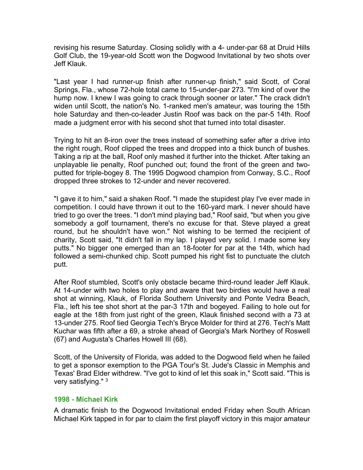revising his resume Saturday. Closing solidly with a 4- under-par 68 at Druid Hills Golf Club, the 19-year-old Scott won the Dogwood Invitational by two shots over Jeff Klauk.

"Last year I had runner-up finish after runner-up finish," said Scott, of Coral Springs, Fla., whose 72-hole total came to 15-under-par 273. "I'm kind of over the hump now. I knew I was going to crack through sooner or later." The crack didn't widen until Scott, the nation's No. 1-ranked men's amateur, was touring the 15th hole Saturday and then-co-leader Justin Roof was back on the par-5 14th. Roof made a judgment error with his second shot that turned into total disaster.

Trying to hit an 8-iron over the trees instead of something safer after a drive into the right rough, Roof clipped the trees and dropped into a thick bunch of bushes. Taking a rip at the ball, Roof only mashed it further into the thicket. After taking an unplayable lie penalty, Roof punched out; found the front of the green and twoputted for triple-bogey 8. The 1995 Dogwood champion from Conway, S.C., Roof dropped three strokes to 12-under and never recovered.

"I gave it to him," said a shaken Roof. "I made the stupidest play I've ever made in competition. I could have thrown it out to the 160-yard mark. I never should have tried to go over the trees. "I don't mind playing bad," Roof said, "but when you give somebody a golf tournament, there's no excuse for that. Steve played a great round, but he shouldn't have won." Not wishing to be termed the recipient of charity, Scott said, "It didn't fall in my lap. I played very solid. I made some key putts." No bigger one emerged than an 18-footer for par at the 14th, which had followed a semi-chunked chip. Scott pumped his right fist to punctuate the clutch putt.

After Roof stumbled, Scott's only obstacle became third-round leader Jeff Klauk. At 14-under with two holes to play and aware that two birdies would have a real shot at winning, Klauk, of Florida Southern University and Ponte Vedra Beach, Fla., left his tee shot short at the par-3 17th and bogeyed. Failing to hole out for eagle at the 18th from just right of the green, Klauk finished second with a 73 at 13-under 275. Roof tied Georgia Tech's Bryce Molder for third at 276. Tech's Matt Kuchar was fifth after a 69, a stroke ahead of Georgia's Mark Northey of Roswell (67) and Augusta's Charles Howell III (68).

Scott, of the University of Florida, was added to the Dogwood field when he failed to get a sponsor exemption to the PGA Tour's St. Jude's Classic in Memphis and Texas' Brad Elder withdrew. "I've got to kind of let this soak in," Scott said. "This is very satisfying." 3

#### **1998 - Michael Kirk**

A dramatic finish to the Dogwood Invitational ended Friday when South African Michael Kirk tapped in for par to claim the first playoff victory in this major amateur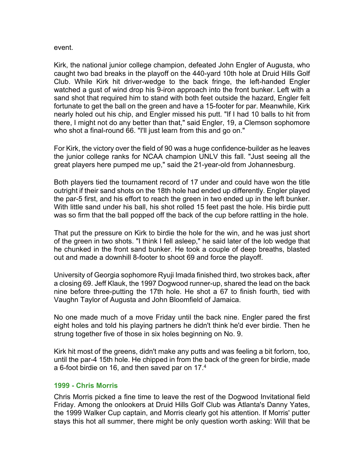event.

Kirk, the national junior college champion, defeated John Engler of Augusta, who caught two bad breaks in the playoff on the 440-yard 10th hole at Druid Hills Golf Club. While Kirk hit driver-wedge to the back fringe, the left-handed Engler watched a gust of wind drop his 9-iron approach into the front bunker. Left with a sand shot that required him to stand with both feet outside the hazard, Engler felt fortunate to get the ball on the green and have a 15-footer for par. Meanwhile, Kirk nearly holed out his chip, and Engler missed his putt. "If I had 10 balls to hit from there, I might not do any better than that," said Engler, 19, a Clemson sophomore who shot a final-round 66. "I'll just learn from this and go on."

For Kirk, the victory over the field of 90 was a huge confidence-builder as he leaves the junior college ranks for NCAA champion UNLV this fall. "Just seeing all the great players here pumped me up," said the 21-year-old from Johannesburg.

Both players tied the tournament record of 17 under and could have won the title outright if their sand shots on the 18th hole had ended up differently. Engler played the par-5 first, and his effort to reach the green in two ended up in the left bunker. With little sand under his ball, his shot rolled 15 feet past the hole. His birdie putt was so firm that the ball popped off the back of the cup before rattling in the hole.

That put the pressure on Kirk to birdie the hole for the win, and he was just short of the green in two shots. "I think I fell asleep," he said later of the lob wedge that he chunked in the front sand bunker. He took a couple of deep breaths, blasted out and made a downhill 8-footer to shoot 69 and force the playoff.

University of Georgia sophomore Ryuji Imada finished third, two strokes back, after a closing 69. Jeff Klauk, the 1997 Dogwood runner-up, shared the lead on the back nine before three-putting the 17th hole. He shot a 67 to finish fourth, tied with Vaughn Taylor of Augusta and John Bloomfield of Jamaica.

No one made much of a move Friday until the back nine. Engler pared the first eight holes and told his playing partners he didn't think he'd ever birdie. Then he strung together five of those in six holes beginning on No. 9.

Kirk hit most of the greens, didn't make any putts and was feeling a bit forlorn, too, until the par-4 15th hole. He chipped in from the back of the green for birdie, made a 6-foot birdie on 16, and then saved par on 17.4

#### **1999 - Chris Morris**

Chris Morris picked a fine time to leave the rest of the Dogwood Invitational field Friday. Among the onlookers at Druid Hills Golf Club was Atlanta's Danny Yates, the 1999 Walker Cup captain, and Morris clearly got his attention. If Morris' putter stays this hot all summer, there might be only question worth asking: Will that be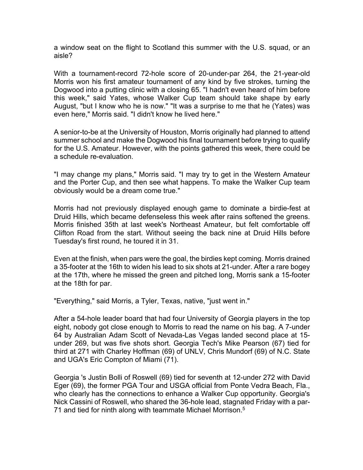a window seat on the flight to Scotland this summer with the U.S. squad, or an aisle?

With a tournament-record 72-hole score of 20-under-par 264, the 21-year-old Morris won his first amateur tournament of any kind by five strokes, turning the Dogwood into a putting clinic with a closing 65. "I hadn't even heard of him before this week," said Yates, whose Walker Cup team should take shape by early August, "but I know who he is now." "It was a surprise to me that he (Yates) was even here," Morris said. "I didn't know he lived here."

A senior-to-be at the University of Houston, Morris originally had planned to attend summer school and make the Dogwood his final tournament before trying to qualify for the U.S. Amateur. However, with the points gathered this week, there could be a schedule re-evaluation.

"I may change my plans," Morris said. "I may try to get in the Western Amateur and the Porter Cup, and then see what happens. To make the Walker Cup team obviously would be a dream come true."

Morris had not previously displayed enough game to dominate a birdie-fest at Druid Hills, which became defenseless this week after rains softened the greens. Morris finished 35th at last week's Northeast Amateur, but felt comfortable off Clifton Road from the start. Without seeing the back nine at Druid Hills before Tuesday's first round, he toured it in 31.

Even at the finish, when pars were the goal, the birdies kept coming. Morris drained a 35-footer at the 16th to widen his lead to six shots at 21-under. After a rare bogey at the 17th, where he missed the green and pitched long, Morris sank a 15-footer at the 18th for par.

"Everything," said Morris, a Tyler, Texas, native, "just went in."

After a 54-hole leader board that had four University of Georgia players in the top eight, nobody got close enough to Morris to read the name on his bag. A 7-under 64 by Australian Adam Scott of Nevada-Las Vegas landed second place at 15 under 269, but was five shots short. Georgia Tech's Mike Pearson (67) tied for third at 271 with Charley Hoffman (69) of UNLV, Chris Mundorf (69) of N.C. State and UGA's Eric Compton of Miami (71).

Georgia 's Justin Bolli of Roswell (69) tied for seventh at 12-under 272 with David Eger (69), the former PGA Tour and USGA official from Ponte Vedra Beach, Fla., who clearly has the connections to enhance a Walker Cup opportunity. Georgia's Nick Cassini of Roswell, who shared the 36-hole lead, stagnated Friday with a par-71 and tied for ninth along with teammate Michael Morrison.5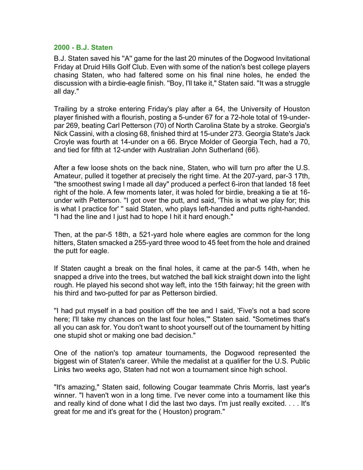# **2000 - B.J. Staten**

B.J. Staten saved his ''A'' game for the last 20 minutes of the Dogwood Invitational Friday at Druid Hills Golf Club. Even with some of the nation's best college players chasing Staten, who had faltered some on his final nine holes, he ended the discussion with a birdie-eagle finish. ''Boy, I'll take it," Staten said. ''It was a struggle all day."

Trailing by a stroke entering Friday's play after a 64, the University of Houston player finished with a flourish, posting a 5-under 67 for a 72-hole total of 19-underpar 269, beating Carl Petterson (70) of North Carolina State by a stroke. Georgia's Nick Cassini, with a closing 68, finished third at 15-under 273. Georgia State's Jack Croyle was fourth at 14-under on a 66. Bryce Molder of Georgia Tech, had a 70, and tied for fifth at 12-under with Australian John Sutherland (66).

After a few loose shots on the back nine, Staten, who will turn pro after the U.S. Amateur, pulled it together at precisely the right time. At the 207-yard, par-3 17th, ''the smoothest swing I made all day" produced a perfect 6-iron that landed 18 feet right of the hole. A few moments later, it was holed for birdie, breaking a tie at 16 under with Petterson. ''I got over the putt, and said, 'This is what we play for; this is what I practice for' '' said Staten, who plays left-handed and putts right-handed. ''I had the line and I just had to hope I hit it hard enough."

Then, at the par-5 18th, a 521-yard hole where eagles are common for the long hitters, Staten smacked a 255-yard three wood to 45 feet from the hole and drained the putt for eagle.

If Staten caught a break on the final holes, it came at the par-5 14th, when he snapped a drive into the trees, but watched the ball kick straight down into the light rough. He played his second shot way left, into the 15th fairway; hit the green with his third and two-putted for par as Petterson birdied.

''I had put myself in a bad position off the tee and I said, 'Five's not a bad score here; I'll take my chances on the last four holes,'" Staten said. "Sometimes that's all you can ask for. You don't want to shoot yourself out of the tournament by hitting one stupid shot or making one bad decision."

One of the nation's top amateur tournaments, the Dogwood represented the biggest win of Staten's career. While the medalist at a qualifier for the U.S. Public Links two weeks ago, Staten had not won a tournament since high school.

"It's amazing," Staten said, following Cougar teammate Chris Morris, last year's winner. "I haven't won in a long time. I've never come into a tournament like this and really kind of done what I did the last two days. I'm just really excited. . . . It's great for me and it's great for the ( Houston) program."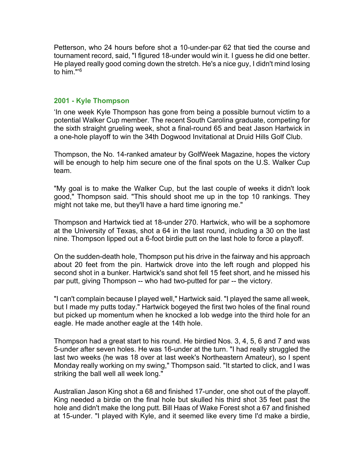Petterson, who 24 hours before shot a 10-under-par 62 that tied the course and tournament record, said, "I figured 18-under would win it. I guess he did one better. He played really good coming down the stretch. He's a nice guy, I didn't mind losing to him."'6

#### **2001 - Kyle Thompson**

'In one week Kyle Thompson has gone from being a possible burnout victim to a potential Walker Cup member. The recent South Carolina graduate, competing for the sixth straight grueling week, shot a final-round 65 and beat Jason Hartwick in a one-hole playoff to win the 34th Dogwood Invitational at Druid Hills Golf Club.

Thompson, the No. 14-ranked amateur by GolfWeek Magazine, hopes the victory will be enough to help him secure one of the final spots on the U.S. Walker Cup team.

"My goal is to make the Walker Cup, but the last couple of weeks it didn't look good," Thompson said. "This should shoot me up in the top 10 rankings. They might not take me, but they'll have a hard time ignoring me."

Thompson and Hartwick tied at 18-under 270. Hartwick, who will be a sophomore at the University of Texas, shot a 64 in the last round, including a 30 on the last nine. Thompson lipped out a 6-foot birdie putt on the last hole to force a playoff.

On the sudden-death hole, Thompson put his drive in the fairway and his approach about 20 feet from the pin. Hartwick drove into the left rough and plopped his second shot in a bunker. Hartwick's sand shot fell 15 feet short, and he missed his par putt, giving Thompson -- who had two-putted for par -- the victory.

"I can't complain because I played well," Hartwick said. "I played the same all week, but I made my putts today." Hartwick bogeyed the first two holes of the final round but picked up momentum when he knocked a lob wedge into the third hole for an eagle. He made another eagle at the 14th hole.

Thompson had a great start to his round. He birdied Nos. 3, 4, 5, 6 and 7 and was 5-under after seven holes. He was 16-under at the turn. "I had really struggled the last two weeks (he was 18 over at last week's Northeastern Amateur), so I spent Monday really working on my swing," Thompson said. "It started to click, and I was striking the ball well all week long."

Australian Jason King shot a 68 and finished 17-under, one shot out of the playoff. King needed a birdie on the final hole but skulled his third shot 35 feet past the hole and didn't make the long putt. Bill Haas of Wake Forest shot a 67 and finished at 15-under. "I played with Kyle, and it seemed like every time I'd make a birdie,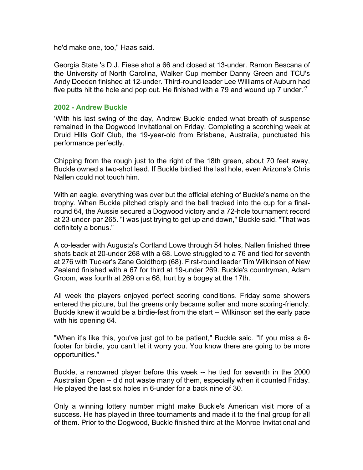he'd make one, too," Haas said.

Georgia State 's D.J. Fiese shot a 66 and closed at 13-under. Ramon Bescana of the University of North Carolina, Walker Cup member Danny Green and TCU's Andy Doeden finished at 12-under. Third-round leader Lee Williams of Auburn had five putts hit the hole and pop out. He finished with a 79 and wound up 7 under.'7

#### **2002 - Andrew Buckle**

'With his last swing of the day, Andrew Buckle ended what breath of suspense remained in the Dogwood Invitational on Friday. Completing a scorching week at Druid Hills Golf Club, the 19-year-old from Brisbane, Australia, punctuated his performance perfectly.

Chipping from the rough just to the right of the 18th green, about 70 feet away, Buckle owned a two-shot lead. If Buckle birdied the last hole, even Arizona's Chris Nallen could not touch him.

With an eagle, everything was over but the official etching of Buckle's name on the trophy. When Buckle pitched crisply and the ball tracked into the cup for a finalround 64, the Aussie secured a Dogwood victory and a 72-hole tournament record at 23-under-par 265. "I was just trying to get up and down," Buckle said. "That was definitely a bonus."

A co-leader with Augusta's Cortland Lowe through 54 holes, Nallen finished three shots back at 20-under 268 with a 68. Lowe struggled to a 76 and tied for seventh at 276 with Tucker's Zane Goldthorp (68). First-round leader Tim Wilkinson of New Zealand finished with a 67 for third at 19-under 269. Buckle's countryman, Adam Groom, was fourth at 269 on a 68, hurt by a bogey at the 17th.

All week the players enjoyed perfect scoring conditions. Friday some showers entered the picture, but the greens only became softer and more scoring-friendly. Buckle knew it would be a birdie-fest from the start -- Wilkinson set the early pace with his opening 64.

"When it's like this, you've just got to be patient," Buckle said. "If you miss a 6 footer for birdie, you can't let it worry you. You know there are going to be more opportunities."

Buckle, a renowned player before this week -- he tied for seventh in the 2000 Australian Open -- did not waste many of them, especially when it counted Friday. He played the last six holes in 6-under for a back nine of 30.

Only a winning lottery number might make Buckle's American visit more of a success. He has played in three tournaments and made it to the final group for all of them. Prior to the Dogwood, Buckle finished third at the Monroe Invitational and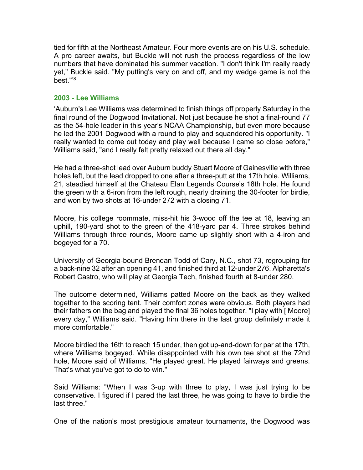tied for fifth at the Northeast Amateur. Four more events are on his U.S. schedule. A pro career awaits, but Buckle will not rush the process regardless of the low numbers that have dominated his summer vacation. "I don't think I'm really ready yet," Buckle said. "My putting's very on and off, and my wedge game is not the best."'8

# **2003 - Lee Williams**

'Auburn's Lee Williams was determined to finish things off properly Saturday in the final round of the Dogwood Invitational. Not just because he shot a final-round 77 as the 54-hole leader in this year's NCAA Championship, but even more because he led the 2001 Dogwood with a round to play and squandered his opportunity. "I really wanted to come out today and play well because I came so close before," Williams said, "and I really felt pretty relaxed out there all day."

He had a three-shot lead over Auburn buddy Stuart Moore of Gainesville with three holes left, but the lead dropped to one after a three-putt at the 17th hole. Williams, 21, steadied himself at the Chateau Elan Legends Course's 18th hole. He found the green with a 6-iron from the left rough, nearly draining the 30-footer for birdie, and won by two shots at 16-under 272 with a closing 71.

Moore, his college roommate, miss-hit his 3-wood off the tee at 18, leaving an uphill, 190-yard shot to the green of the 418-yard par 4. Three strokes behind Williams through three rounds, Moore came up slightly short with a 4-iron and bogeyed for a 70.

University of Georgia-bound Brendan Todd of Cary, N.C., shot 73, regrouping for a back-nine 32 after an opening 41, and finished third at 12-under 276. Alpharetta's Robert Castro, who will play at Georgia Tech, finished fourth at 8-under 280.

The outcome determined, Williams patted Moore on the back as they walked together to the scoring tent. Their comfort zones were obvious. Both players had their fathers on the bag and played the final 36 holes together. "I play with [ Moore] every day," Williams said. "Having him there in the last group definitely made it more comfortable."

Moore birdied the 16th to reach 15 under, then got up-and-down for par at the 17th, where Williams bogeyed. While disappointed with his own tee shot at the 72nd hole, Moore said of Williams, "He played great. He played fairways and greens. That's what you've got to do to win."

Said Williams: "When I was 3-up with three to play, I was just trying to be conservative. I figured if I pared the last three, he was going to have to birdie the last three."

One of the nation's most prestigious amateur tournaments, the Dogwood was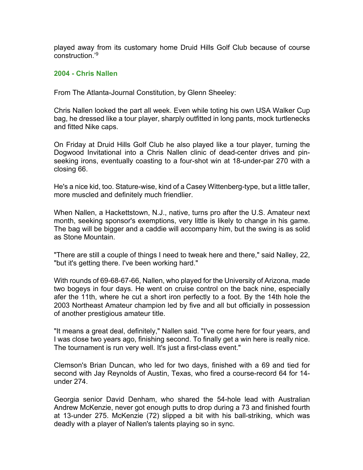played away from its customary home Druid Hills Golf Club because of course construction.'9

# **2004 - Chris Nallen**

From The Atlanta-Journal Constitution, by Glenn Sheeley:

Chris Nallen looked the part all week. Even while toting his own USA Walker Cup bag, he dressed like a tour player, sharply outfitted in long pants, mock turtlenecks and fitted Nike caps.

On Friday at Druid Hills Golf Club he also played like a tour player, turning the Dogwood Invitational into a Chris Nallen clinic of dead-center drives and pinseeking irons, eventually coasting to a four-shot win at 18-under-par 270 with a closing 66.

He's a nice kid, too. Stature-wise, kind of a Casey Wittenberg-type, but a little taller, more muscled and definitely much friendlier.

When Nallen, a Hackettstown, N.J., native, turns pro after the U.S. Amateur next month, seeking sponsor's exemptions, very little is likely to change in his game. The bag will be bigger and a caddie will accompany him, but the swing is as solid as Stone Mountain.

"There are still a couple of things I need to tweak here and there," said Nalley, 22, "but it's getting there. I've been working hard."

With rounds of 69-68-67-66, Nallen, who played for the University of Arizona, made two bogeys in four days. He went on cruise control on the back nine, especially afer the 11th, where he cut a short iron perfectly to a foot. By the 14th hole the 2003 Northeast Amateur champion led by five and all but officially in possession of another prestigious amateur title.

"It means a great deal, definitely," Nallen said. "I've come here for four years, and I was close two years ago, finishing second. To finally get a win here is really nice. The tournament is run very well. It's just a first-class event."

Clemson's Brian Duncan, who led for two days, finished with a 69 and tied for second with Jay Reynolds of Austin, Texas, who fired a course-record 64 for 14 under 274.

Georgia senior David Denham, who shared the 54-hole lead with Australian Andrew McKenzie, never got enough putts to drop during a 73 and finished fourth at 13-under 275. McKenzie (72) slipped a bit with his ball-striking, which was deadly with a player of Nallen's talents playing so in sync.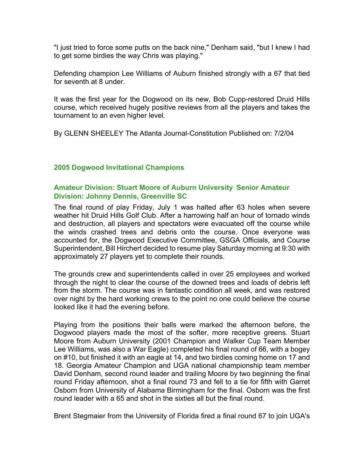"I just tried to force some putts on the back nine," Denham said, "but I knew I had to get some birdies the way Chris was playing."

Defending champion Lee Williams of Auburn finished strongly with a 67 that tied for seventh at 8 under.

It was the first year for the Dogwood on its new, Bob Cupp-restored Druid Hills course, which received hugely positive reviews from all the players and takes the tournament to an even higher level.

By GLENN SHEELEY The Atlanta Journal-Constitution Published on: 7/2/04

# **2005 Dogwood Invitational Champions**

# **Amateur Division: Stuart Moore of Auburn University Senior Amateur Division: Johnny Dennis, Greenville SC**

The final round of play Friday, July 1 was halted after 63 holes when severe weather hit Druid Hills Golf Club. After a harrowing half an hour of tornado winds and destruction, all players and spectators were evacuated off the course while the winds crashed trees and debris onto the course. Once everyone was accounted for, the Dogwood Executive Committee, GSGA Officials, and Course Superintendent, Bill Hirchert decided to resume play Saturday morning at 9:30 with approximately 27 players yet to complete their rounds.

The grounds crew and superintendents called in over 25 employees and worked through the night to clear the course of the downed trees and loads of debris left from the storm. The course was in fantastic condition all week, and was restored over night by the hard working crews to the point no one could believe the course looked like it had the evening before.

Playing from the positions their balls were marked the afternoon before, the Dogwood players made the most of the softer, more receptive greens. Stuart Moore from Auburn University (2001 Champion and Walker Cup Team Member Lee Williams, was also a War Eagle) completed his final round of 66, with a bogey on #10, but finished it with an eagle at 14, and two birdies coming home on 17 and 18. Georgia Amateur Champion and UGA national championship team member David Denham, second round leader and trailing Moore by two beginning the final round Friday afternoon, shot a final round 73 and fell to a tie for fifth with Garret Osborn from University of Alabama Birmingham for the final. Osborn was the first round leader with a 65 and shot in the sixties all but the final round.

Brent Stegmaier from the University of Florida fired a final round 67 to join UGA's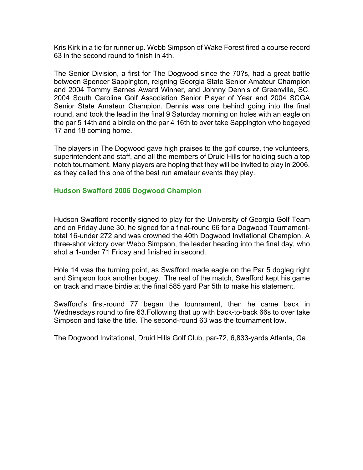Kris Kirk in a tie for runner up. Webb Simpson of Wake Forest fired a course record 63 in the second round to finish in 4th.

The Senior Division, a first for The Dogwood since the 70?s, had a great battle between Spencer Sappington, reigning Georgia State Senior Amateur Champion and 2004 Tommy Barnes Award Winner, and Johnny Dennis of Greenville, SC, 2004 South Carolina Golf Association Senior Player of Year and 2004 SCGA Senior State Amateur Champion. Dennis was one behind going into the final round, and took the lead in the final 9 Saturday morning on holes with an eagle on the par 5 14th and a birdie on the par 4 16th to over take Sappington who bogeyed 17 and 18 coming home.

The players in The Dogwood gave high praises to the golf course, the volunteers, superintendent and staff, and all the members of Druid Hills for holding such a top notch tournament. Many players are hoping that they will be invited to play in 2006, as they called this one of the best run amateur events they play.

#### **Hudson Swafford 2006 Dogwood Champion**

Hudson Swafford recently signed to play for the University of Georgia Golf Team and on Friday June 30, he signed for a final-round 66 for a Dogwood Tournamenttotal 16-under 272 and was crowned the 40th Dogwood Invitational Champion. A three-shot victory over Webb Simpson, the leader heading into the final day, who shot a 1-under 71 Friday and finished in second.

Hole 14 was the turning point, as Swafford made eagle on the Par 5 dogleg right and Simpson took another bogey. The rest of the match, Swafford kept his game on track and made birdie at the final 585 yard Par 5th to make his statement.

Swafford's first-round 77 began the tournament, then he came back in Wednesdays round to fire 63.Following that up with back-to-back 66s to over take Simpson and take the title. The second-round 63 was the tournament low.

The Dogwood Invitational, Druid Hills Golf Club, par-72, 6,833-yards Atlanta, Ga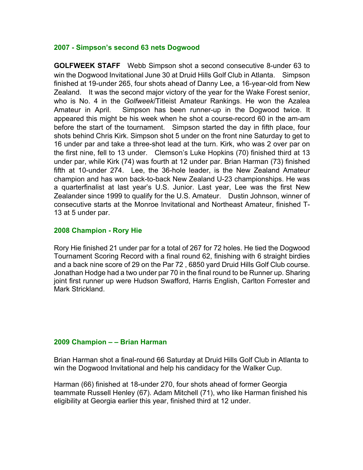# **2007 - Simpson's second 63 nets Dogwood**

**GOLFWEEK STAFF** Webb Simpson shot a second consecutive 8-under 63 to win the Dogwood Invitational June 30 at Druid Hills Golf Club in Atlanta. Simpson finished at 19-under 265, four shots ahead of Danny Lee, a 16-year-old from New Zealand. It was the second major victory of the year for the Wake Forest senior, who is No. 4 in the *Golfweek*/Titleist Amateur Rankings. He won the Azalea Amateur in April. Simpson has been runner-up in the Dogwood twice. It appeared this might be his week when he shot a course-record 60 in the am-am before the start of the tournament. Simpson started the day in fifth place, four shots behind Chris Kirk. Simpson shot 5 under on the front nine Saturday to get to 16 under par and take a three-shot lead at the turn. Kirk, who was 2 over par on the first nine, fell to 13 under. Clemson's Luke Hopkins (70) finished third at 13 under par, while Kirk (74) was fourth at 12 under par. Brian Harman (73) finished fifth at 10-under 274. Lee, the 36-hole leader, is the New Zealand Amateur champion and has won back-to-back New Zealand U-23 championships. He was a quarterfinalist at last year's U.S. Junior. Last year, Lee was the first New Zealander since 1999 to qualify for the U.S. Amateur. Dustin Johnson, winner of consecutive starts at the Monroe Invitational and Northeast Amateur, finished T-13 at 5 under par.

# **2008 Champion - Rory Hie**

Rory Hie finished 21 under par for a total of 267 for 72 holes. He tied the Dogwood Tournament Scoring Record with a final round 62, finishing with 6 straight birdies and a back nine score of 29 on the Par 72 , 6850 yard Druid Hills Golf Club course. Jonathan Hodge had a two under par 70 in the final round to be Runner up. Sharing joint first runner up were Hudson Swafford, Harris English, Carlton Forrester and Mark Strickland.

#### **2009 Champion – – Brian Harman**

Brian Harman shot a final-round 66 Saturday at Druid Hills Golf Club in Atlanta to win the Dogwood Invitational and help his candidacy for the Walker Cup.

Harman (66) finished at 18-under 270, four shots ahead of former Georgia teammate Russell Henley (67). Adam Mitchell (71), who like Harman finished his eligibility at Georgia earlier this year, finished third at 12 under.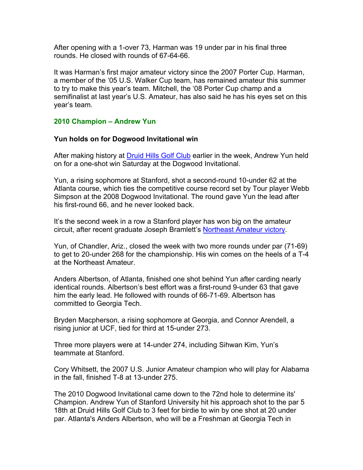After opening with a 1-over 73, Harman was 19 under par in his final three rounds. He closed with rounds of 67-64-66.

It was Harman's first major amateur victory since the 2007 Porter Cup. Harman, a member of the '05 U.S. Walker Cup team, has remained amateur this summer to try to make this year's team. Mitchell, the '08 Porter Cup champ and a semifinalist at last year's U.S. Amateur, has also said he has his eyes set on this year's team.

# **2010 Champion – Andrew Yun**

#### **Yun holds on for Dogwood Invitational win**

After making history at **Druid Hills Golf Club** earlier in the week, Andrew Yun held on for a one-shot win Saturday at the Dogwood Invitational.

Yun, a rising sophomore at Stanford, shot a second-round 10-under 62 at the Atlanta course, which ties the competitive course record set by Tour player Webb Simpson at the 2008 Dogwood Invitational. The round gave Yun the lead after his first-round 66, and he never looked back.

It's the second week in a row a Stanford player has won big on the amateur circuit, after recent graduate Joseph Bramlett's Northeast Amateur victory.

Yun, of Chandler, Ariz., closed the week with two more rounds under par (71-69) to get to 20-under 268 for the championship. His win comes on the heels of a T-4 at the Northeast Amateur.

Anders Albertson, of Atlanta, finished one shot behind Yun after carding nearly identical rounds. Albertson's best effort was a first-round 9-under 63 that gave him the early lead. He followed with rounds of 66-71-69. Albertson has committed to Georgia Tech.

Bryden Macpherson, a rising sophomore at Georgia, and Connor Arendell, a rising junior at UCF, tied for third at 15-under 273.

Three more players were at 14-under 274, including Sihwan Kim, Yun's teammate at Stanford.

Cory Whitsett, the 2007 U.S. Junior Amateur champion who will play for Alabama in the fall, finished T-8 at 13-under 275.

The 2010 Dogwood Invitational came down to the 72nd hole to determine its' Champion. Andrew Yun of Stanford University hit his approach shot to the par 5 18th at Druid Hills Golf Club to 3 feet for birdie to win by one shot at 20 under par. Atlanta's Anders Albertson, who will be a Freshman at Georgia Tech in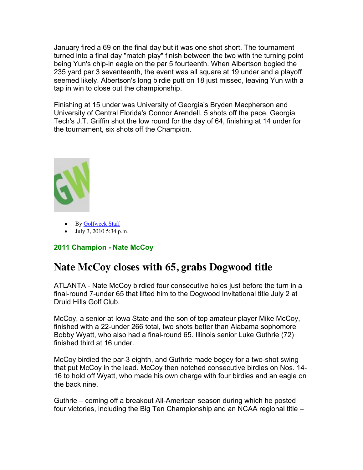January fired a 69 on the final day but it was one shot short. The tournament turned into a final day "match play" finish between the two with the turning point being Yun's chip-in eagle on the par 5 fourteenth. When Albertson bogied the 235 yard par 3 seventeenth, the event was all square at 19 under and a playoff seemed likely. Albertson's long birdie putt on 18 just missed, leaving Yun with a tap in win to close out the championship.

Finishing at 15 under was University of Georgia's Bryden Macpherson and University of Central Florida's Connor Arendell, 5 shots off the pace. Georgia Tech's J.T. Griffin shot the low round for the day of 64, finishing at 14 under for the tournament, six shots off the Champion.



- By Golfweek Staff
- July 3, 2010 5:34 p.m.

# **2011 Champion - Nate McCoy**

# **Nate McCoy closes with 65, grabs Dogwood title**

ATLANTA - Nate McCoy birdied four consecutive holes just before the turn in a final-round 7-under 65 that lifted him to the Dogwood Invitational title July 2 at Druid Hills Golf Club.

McCoy, a senior at Iowa State and the son of top amateur player Mike McCoy, finished with a 22-under 266 total, two shots better than Alabama sophomore Bobby Wyatt, who also had a final-round 65. Illinois senior Luke Guthrie (72) finished third at 16 under.

McCoy birdied the par-3 eighth, and Guthrie made bogey for a two-shot swing that put McCoy in the lead. McCoy then notched consecutive birdies on Nos. 14- 16 to hold off Wyatt, who made his own charge with four birdies and an eagle on the back nine.

Guthrie – coming off a breakout All-American season during which he posted four victories, including the Big Ten Championship and an NCAA regional title –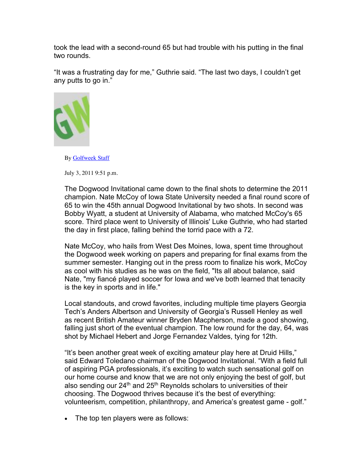took the lead with a second-round 65 but had trouble with his putting in the final two rounds.

"It was a frustrating day for me," Guthrie said. "The last two days, I couldn't get any putts to go in."



By Golfweek Staff

July 3, 2011 9:51 p.m.

The Dogwood Invitational came down to the final shots to determine the 2011 champion. Nate McCoy of Iowa State University needed a final round score of 65 to win the 45th annual Dogwood Invitational by two shots. In second was Bobby Wyatt, a student at University of Alabama, who matched McCoy's 65 score. Third place went to University of Illinois' Luke Guthrie, who had started the day in first place, falling behind the torrid pace with a 72.

Nate McCoy, who hails from West Des Moines, Iowa, spent time throughout the Dogwood week working on papers and preparing for final exams from the summer semester. Hanging out in the press room to finalize his work, McCoy as cool with his studies as he was on the field, "Its all about balance, said Nate, "my fiancé played soccer for Iowa and we've both learned that tenacity is the key in sports and in life."

Local standouts, and crowd favorites, including multiple time players Georgia Tech's Anders Albertson and University of Georgia's Russell Henley as well as recent British Amateur winner Bryden Macpherson, made a good showing, falling just short of the eventual champion. The low round for the day, 64, was shot by Michael Hebert and Jorge Fernandez Valdes, tying for 12th.

"It's been another great week of exciting amateur play here at Druid Hills," said Edward Toledano chairman of the Dogwood Invitational. "With a field full of aspiring PGA professionals, it's exciting to watch such sensational golf on our home course and know that we are not only enjoying the best of golf, but also sending our  $24<sup>th</sup>$  and  $25<sup>th</sup>$  Reynolds scholars to universities of their choosing. The Dogwood thrives because it's the best of everything: volunteerism, competition, philanthropy, and America's greatest game - golf."

• The top ten players were as follows: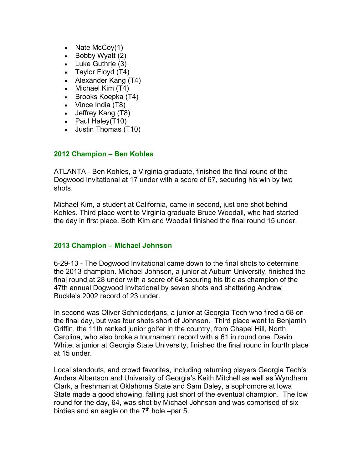- Nate McCoy(1)
- Bobby Wyatt (2)
- Luke Guthrie (3)
- Taylor Floyd (T4)
- Alexander Kang (T4)
- Michael Kim (T4)
- Brooks Koepka (T4)
- Vince India (T8)
- Jeffrey Kang (T8)
- Paul Haley(T10)
- Justin Thomas (T10)

# **2012 Champion – Ben Kohles**

ATLANTA - Ben Kohles, a Virginia graduate, finished the final round of the Dogwood Invitational at 17 under with a score of 67, securing his win by two shots.

Michael Kim, a student at California, came in second, just one shot behind Kohles. Third place went to Virginia graduate Bruce Woodall, who had started the day in first place. Both Kim and Woodall finished the final round 15 under.

# **2013 Champion – Michael Johnson**

6-29-13 - The Dogwood Invitational came down to the final shots to determine the 2013 champion. Michael Johnson, a junior at Auburn University, finished the final round at 28 under with a score of 64 securing his title as champion of the 47th annual Dogwood Invitational by seven shots and shattering Andrew Buckle's 2002 record of 23 under.

In second was Oliver Schniederjans, a junior at Georgia Tech who fired a 68 on the final day, but was four shots short of Johnson. Third place went to Benjamin Griffin, the 11th ranked junior golfer in the country, from Chapel Hill, North Carolina, who also broke a tournament record with a 61 in round one. Davin White, a junior at Georgia State University, finished the final round in fourth place at 15 under.

Local standouts, and crowd favorites, including returning players Georgia Tech's Anders Albertson and University of Georgia's Keith Mitchell as well as Wyndham Clark, a freshman at Oklahoma State and Sam Daley, a sophomore at Iowa State made a good showing, falling just short of the eventual champion. The low round for the day, 64, was shot by Michael Johnson and was comprised of six birdies and an eagle on the  $7<sup>th</sup>$  hole –par 5.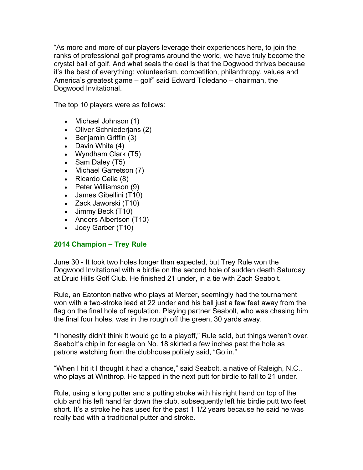"As more and more of our players leverage their experiences here, to join the ranks of professional golf programs around the world, we have truly become the crystal ball of golf. And what seals the deal is that the Dogwood thrives because it's the best of everything: volunteerism, competition, philanthropy, values and America's greatest game – golf" said Edward Toledano – chairman, the Dogwood Invitational.

The top 10 players were as follows:

- Michael Johnson (1)
- Oliver Schniederjans (2)
- Benjamin Griffin (3)
- Davin White (4)
- Wyndham Clark (T5)
- Sam Daley (T5)
- Michael Garretson (7)
- Ricardo Ceila (8)
- Peter Williamson (9)
- James Gibellini (T10)
- Zack Jaworski (T10)
- Jimmy Beck (T10)
- Anders Albertson (T10)
- Joey Garber (T10)

# **2014 Champion – Trey Rule**

June 30 - It took two holes longer than expected, but Trey Rule won the Dogwood Invitational with a birdie on the second hole of sudden death Saturday at Druid Hills Golf Club. He finished 21 under, in a tie with Zach Seabolt.

Rule, an Eatonton native who plays at Mercer, seemingly had the tournament won with a two-stroke lead at 22 under and his ball just a few feet away from the flag on the final hole of regulation. Playing partner Seabolt, who was chasing him the final four holes, was in the rough off the green, 30 yards away.

"I honestly didn't think it would go to a playoff," Rule said, but things weren't over. Seabolt's chip in for eagle on No. 18 skirted a few inches past the hole as patrons watching from the clubhouse politely said, "Go in."

"When I hit it I thought it had a chance," said Seabolt, a native of Raleigh, N.C., who plays at Winthrop. He tapped in the next putt for birdie to fall to 21 under.

Rule, using a long putter and a putting stroke with his right hand on top of the club and his left hand far down the club, subsequently left his birdie putt two feet short. It's a stroke he has used for the past 1 1/2 years because he said he was really bad with a traditional putter and stroke.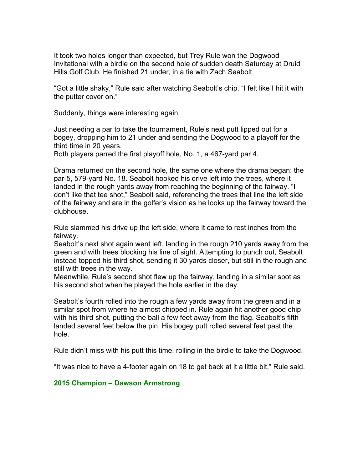It took two holes longer than expected, but Trey Rule won the Dogwood Invitational with a birdie on the second hole of sudden death Saturday at Druid Hills Golf Club. He finished 21 under, in a tie with Zach Seabolt.

"Got a little shaky," Rule said after watching Seabolt's chip. "I felt like I hit it with the putter cover on."

Suddenly, things were interesting again.

Just needing a par to take the tournament, Rule's next putt lipped out for a bogey, dropping him to 21 under and sending the Dogwood to a playoff for the third time in 20 years.

Both players parred the first playoff hole, No. 1, a 467-yard par 4.

Drama returned on the second hole, the same one where the drama began: the par-5, 579-yard No. 18. Seabolt hooked his drive left into the trees, where it landed in the rough yards away from reaching the beginning of the fairway. "I don't like that tee shot," Seabolt said, referencing the trees that line the left side of the fairway and are in the golfer's vision as he looks up the fairway toward the clubhouse.

Rule slammed his drive up the left side, where it came to rest inches from the fairway.

Seabolt's next shot again went left, landing in the rough 210 yards away from the green and with trees blocking his line of sight. Attempting to punch out, Seabolt instead topped his third shot, sending it 30 yards closer, but still in the rough and still with trees in the way.

Meanwhile, Rule's second shot flew up the fairway, landing in a similar spot as his second shot when he played the hole earlier in the day.

Seabolt's fourth rolled into the rough a few yards away from the green and in a similar spot from where he almost chipped in. Rule again hit another good chip with his third shot, putting the ball a few feet away from the flag. Seabolt's fifth landed several feet below the pin. His bogey putt rolled several feet past the hole.

Rule didn't miss with his putt this time, rolling in the birdie to take the Dogwood.

"It was nice to have a 4-footer again on 18 to get back at it a little bit," Rule said.

#### **2015 Champion – Dawson Armstrong**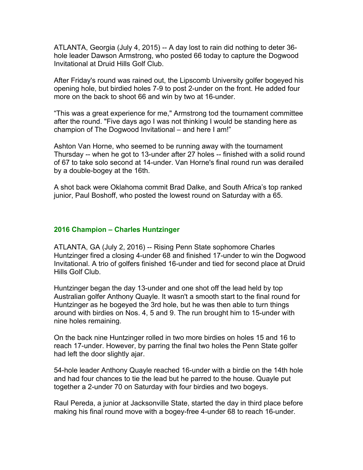ATLANTA, Georgia (July 4, 2015) -- A day lost to rain did nothing to deter 36 hole leader Dawson Armstrong, who posted 66 today to capture the Dogwood Invitational at Druid Hills Golf Club.

After Friday's round was rained out, the Lipscomb University golfer bogeyed his opening hole, but birdied holes 7-9 to post 2-under on the front. He added four more on the back to shoot 66 and win by two at 16-under.

"This was a great experience for me," Armstrong tod the tournament committee after the round. "Five days ago I was not thinking I would be standing here as champion of The Dogwood Invitational – and here I am!"

Ashton Van Horne, who seemed to be running away with the tournament Thursday -- when he got to 13-under after 27 holes -- finished with a solid round of 67 to take solo second at 14-under. Van Horne's final round run was derailed by a double-bogey at the 16th.

A shot back were Oklahoma commit Brad Dalke, and South Africa's top ranked junior, Paul Boshoff, who posted the lowest round on Saturday with a 65.

# **2016 Champion – Charles Huntzinger**

ATLANTA, GA (July 2, 2016) -- Rising Penn State sophomore Charles Huntzinger fired a closing 4-under 68 and finished 17-under to win the Dogwood Invitational. A trio of golfers finished 16-under and tied for second place at Druid Hills Golf Club.

Huntzinger began the day 13-under and one shot off the lead held by top Australian golfer Anthony Quayle. It wasn't a smooth start to the final round for Huntzinger as he bogeyed the 3rd hole, but he was then able to turn things around with birdies on Nos. 4, 5 and 9. The run brought him to 15-under with nine holes remaining.

On the back nine Huntzinger rolled in two more birdies on holes 15 and 16 to reach 17-under. However, by parring the final two holes the Penn State golfer had left the door slightly ajar.

54-hole leader Anthony Quayle reached 16-under with a birdie on the 14th hole and had four chances to tie the lead but he parred to the house. Quayle put together a 2-under 70 on Saturday with four birdies and two bogeys.

Raul Pereda, a junior at Jacksonville State, started the day in third place before making his final round move with a bogey-free 4-under 68 to reach 16-under.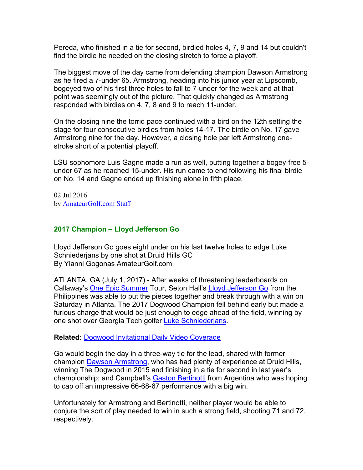Pereda, who finished in a tie for second, birdied holes 4, 7, 9 and 14 but couldn't find the birdie he needed on the closing stretch to force a playoff.

The biggest move of the day came from defending champion Dawson Armstrong as he fired a 7-under 65. Armstrong, heading into his junior year at Lipscomb, bogeyed two of his first three holes to fall to 7-under for the week and at that point was seemingly out of the picture. That quickly changed as Armstrong responded with birdies on 4, 7, 8 and 9 to reach 11-under.

On the closing nine the torrid pace continued with a bird on the 12th setting the stage for four consecutive birdies from holes 14-17. The birdie on No. 17 gave Armstrong nine for the day. However, a closing hole par left Armstrong onestroke short of a potential playoff.

LSU sophomore Luis Gagne made a run as well, putting together a bogey-free 5 under 67 as he reached 15-under. His run came to end following his final birdie on No. 14 and Gagne ended up finishing alone in fifth place.

02 Jul 2016 by AmateurGolf.com Staff

# **2017 Champion – Lloyd Jefferson Go**

Lloyd Jefferson Go goes eight under on his last twelve holes to edge Luke Schniederjans by one shot at Druid Hills GC By Yianni Gogonas AmateurGolf.com

ATLANTA, GA (July 1, 2017) - After weeks of threatening leaderboards on Callaway's One Epic Summer Tour, Seton Hall's Lloyd Jefferson Go from the Philippines was able to put the pieces together and break through with a win on Saturday in Atlanta. The 2017 Dogwood Champion fell behind early but made a furious charge that would be just enough to edge ahead of the field, winning by one shot over Georgia Tech golfer Luke Schniederjans.

#### **Related:** Dogwood Invitational Daily Video Coverage

Go would begin the day in a three-way tie for the lead, shared with former champion Dawson Armstrong, who has had plenty of experience at Druid Hills, winning The Dogwood in 2015 and finishing in a tie for second in last year's championship; and Campbell's Gaston Bertinotti from Argentina who was hoping to cap off an impressive 66-68-67 performance with a big win.

Unfortunately for Armstrong and Bertinotti, neither player would be able to conjure the sort of play needed to win in such a strong field, shooting 71 and 72, respectively.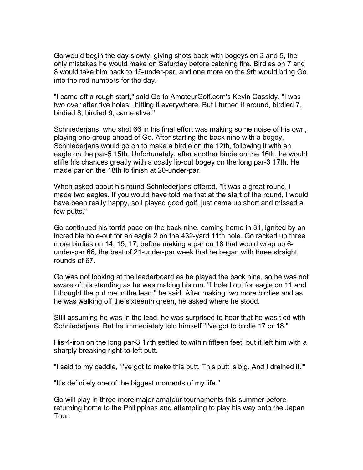Go would begin the day slowly, giving shots back with bogeys on 3 and 5, the only mistakes he would make on Saturday before catching fire. Birdies on 7 and 8 would take him back to 15-under-par, and one more on the 9th would bring Go into the red numbers for the day.

"I came off a rough start," said Go to AmateurGolf.com's Kevin Cassidy. "I was two over after five holes...hitting it everywhere. But I turned it around, birdied 7, birdied 8, birdied 9, came alive."

Schniederjans, who shot 66 in his final effort was making some noise of his own, playing one group ahead of Go. After starting the back nine with a bogey, Schniederjans would go on to make a birdie on the 12th, following it with an eagle on the par-5 15th. Unfortunately, after another birdie on the 16th, he would stifle his chances greatly with a costly lip-out bogey on the long par-3 17th. He made par on the 18th to finish at 20-under-par.

When asked about his round Schniederjans offered, "It was a great round. I made two eagles. If you would have told me that at the start of the round, I would have been really happy, so I played good golf, just came up short and missed a few putts."

Go continued his torrid pace on the back nine, coming home in 31, ignited by an incredible hole-out for an eagle 2 on the 432-yard 11th hole. Go racked up three more birdies on 14, 15, 17, before making a par on 18 that would wrap up 6 under-par 66, the best of 21-under-par week that he began with three straight rounds of 67.

Go was not looking at the leaderboard as he played the back nine, so he was not aware of his standing as he was making his run. "I holed out for eagle on 11 and I thought the put me in the lead," he said. After making two more birdies and as he was walking off the sixteenth green, he asked where he stood.

Still assuming he was in the lead, he was surprised to hear that he was tied with Schniederjans. But he immediately told himself "I've got to birdie 17 or 18."

His 4-iron on the long par-3 17th settled to within fifteen feet, but it left him with a sharply breaking right-to-left putt.

"I said to my caddie, 'I've got to make this putt. This putt is big. And I drained it.'"

"It's definitely one of the biggest moments of my life."

Go will play in three more major amateur tournaments this summer before returning home to the Philippines and attempting to play his way onto the Japan Tour.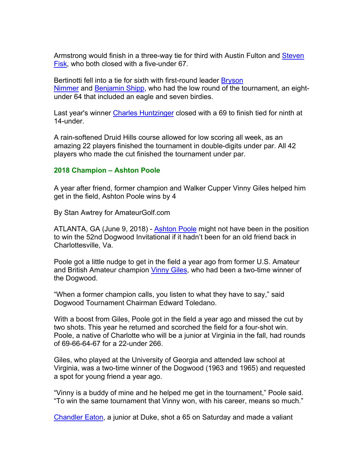Armstrong would finish in a three-way tie for third with Austin Fulton and Steven Fisk, who both closed with a five-under 67.

Bertinotti fell into a tie for sixth with first-round leader Bryson Nimmer and Benjamin Shipp, who had the low round of the tournament, an eightunder 64 that included an eagle and seven birdies.

Last year's winner Charles Huntzinger closed with a 69 to finish tied for ninth at 14-under.

A rain-softened Druid Hills course allowed for low scoring all week, as an amazing 22 players finished the tournament in double-digits under par. All 42 players who made the cut finished the tournament under par.

#### **2018 Champion – Ashton Poole**

A year after friend, former champion and Walker Cupper Vinny Giles helped him get in the field, Ashton Poole wins by 4

By Stan Awtrey for AmateurGolf.com

ATLANTA, GA (June 9, 2018) - Ashton Poole might not have been in the position to win the 52nd Dogwood Invitational if it hadn't been for an old friend back in Charlottesville, Va.

Poole got a little nudge to get in the field a year ago from former U.S. Amateur and British Amateur champion Vinny Giles, who had been a two-time winner of the Dogwood.

"When a former champion calls, you listen to what they have to say," said Dogwood Tournament Chairman Edward Toledano.

With a boost from Giles, Poole got in the field a year ago and missed the cut by two shots. This year he returned and scorched the field for a four-shot win. Poole, a native of Charlotte who will be a junior at Virginia in the fall, had rounds of 69-66-64-67 for a 22-under 266.

Giles, who played at the University of Georgia and attended law school at Virginia, was a two-time winner of the Dogwood (1963 and 1965) and requested a spot for young friend a year ago.

"Vinny is a buddy of mine and he helped me get in the tournament," Poole said. "To win the same tournament that Vinny won, with his career, means so much."

Chandler Eaton, a junior at Duke, shot a 65 on Saturday and made a valiant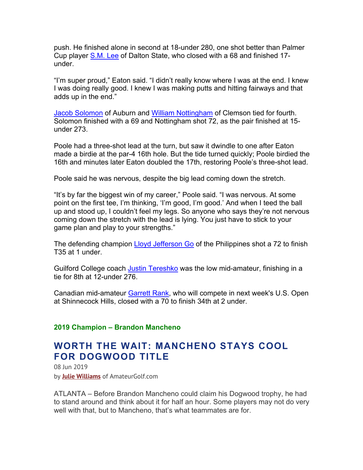push. He finished alone in second at 18-under 280, one shot better than Palmer Cup player S.M. Lee of Dalton State, who closed with a 68 and finished 17 under.

"I'm super proud," Eaton said. "I didn't really know where I was at the end. I knew I was doing really good. I knew I was making putts and hitting fairways and that adds up in the end."

Jacob Solomon of Auburn and William Nottingham of Clemson tied for fourth. Solomon finished with a 69 and Nottingham shot 72, as the pair finished at 15 under 273.

Poole had a three-shot lead at the turn, but saw it dwindle to one after Eaton made a birdie at the par-4 16th hole. But the tide turned quickly; Poole birdied the 16th and minutes later Eaton doubled the 17th, restoring Poole's three-shot lead.

Poole said he was nervous, despite the big lead coming down the stretch.

"It's by far the biggest win of my career," Poole said. "I was nervous. At some point on the first tee, I'm thinking, 'I'm good, I'm good.' And when I teed the ball up and stood up, I couldn't feel my legs. So anyone who says they're not nervous coming down the stretch with the lead is lying. You just have to stick to your game plan and play to your strengths."

The defending champion Lloyd Jefferson Go of the Philippines shot a 72 to finish T35 at 1 under.

Guilford College coach Justin Tereshko was the low mid-amateur, finishing in a tie for 8th at 12-under 276.

Canadian mid-amateur Garrett Rank, who will compete in next week's U.S. Open at Shinnecock Hills, closed with a 70 to finish 34th at 2 under.

#### **2019 Champion – Brandon Mancheno**

# **WORTH THE WAIT: MANCHENO STAYS COOL FOR DOGWOOD TITLE**

08 Jun 2019 by **Julie Williams** of AmateurGolf.com

ATLANTA – Before Brandon Mancheno could claim his Dogwood trophy, he had to stand around and think about it for half an hour. Some players may not do very well with that, but to Mancheno, that's what teammates are for.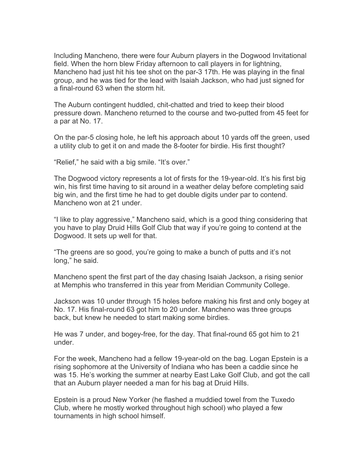Including Mancheno, there were four Auburn players in the Dogwood Invitational field. When the horn blew Friday afternoon to call players in for lightning, Mancheno had just hit his tee shot on the par-3 17th. He was playing in the final group, and he was tied for the lead with Isaiah Jackson, who had just signed for a final-round 63 when the storm hit.

The Auburn contingent huddled, chit-chatted and tried to keep their blood pressure down. Mancheno returned to the course and two-putted from 45 feet for a par at No. 17.

On the par-5 closing hole, he left his approach about 10 yards off the green, used a utility club to get it on and made the 8-footer for birdie. His first thought?

"Relief," he said with a big smile. "It's over."

The Dogwood victory represents a lot of firsts for the 19-year-old. It's his first big win, his first time having to sit around in a weather delay before completing said big win, and the first time he had to get double digits under par to contend. Mancheno won at 21 under.

"I like to play aggressive," Mancheno said, which is a good thing considering that you have to play Druid Hills Golf Club that way if you're going to contend at the Dogwood. It sets up well for that.

"The greens are so good, you're going to make a bunch of putts and it's not long," he said.

Mancheno spent the first part of the day chasing Isaiah Jackson, a rising senior at Memphis who transferred in this year from Meridian Community College.

Jackson was 10 under through 15 holes before making his first and only bogey at No. 17. His final-round 63 got him to 20 under. Mancheno was three groups back, but knew he needed to start making some birdies.

He was 7 under, and bogey-free, for the day. That final-round 65 got him to 21 under.

For the week, Mancheno had a fellow 19-year-old on the bag. Logan Epstein is a rising sophomore at the University of Indiana who has been a caddie since he was 15. He's working the summer at nearby East Lake Golf Club, and got the call that an Auburn player needed a man for his bag at Druid Hills.

Epstein is a proud New Yorker (he flashed a muddied towel from the Tuxedo Club, where he mostly worked throughout high school) who played a few tournaments in high school himself.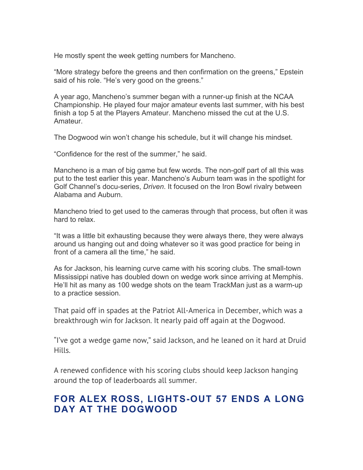He mostly spent the week getting numbers for Mancheno.

"More strategy before the greens and then confirmation on the greens," Epstein said of his role. "He's very good on the greens."

A year ago, Mancheno's summer began with a runner-up finish at the NCAA Championship. He played four major amateur events last summer, with his best finish a top 5 at the Players Amateur. Mancheno missed the cut at the U.S. Amateur.

The Dogwood win won't change his schedule, but it will change his mindset.

"Confidence for the rest of the summer," he said.

Mancheno is a man of big game but few words. The non-golf part of all this was put to the test earlier this year. Mancheno's Auburn team was in the spotlight for Golf Channel's docu-series, *Driven*. It focused on the Iron Bowl rivalry between Alabama and Auburn.

Mancheno tried to get used to the cameras through that process, but often it was hard to relax.

"It was a little bit exhausting because they were always there, they were always around us hanging out and doing whatever so it was good practice for being in front of a camera all the time," he said.

As for Jackson, his learning curve came with his scoring clubs. The small-town Mississippi native has doubled down on wedge work since arriving at Memphis. He'll hit as many as 100 wedge shots on the team TrackMan just as a warm-up to a practice session.

That paid off in spades at the Patriot All-America in December, which was a breakthrough win for Jackson. It nearly paid off again at the Dogwood.

"I've got a wedge game now," said Jackson, and he leaned on it hard at Druid Hills.

A renewed confidence with his scoring clubs should keep Jackson hanging around the top of leaderboards all summer.

# **FOR ALEX ROSS, LIGHTS-OUT 57 ENDS A LONG DAY AT THE DOGWOOD**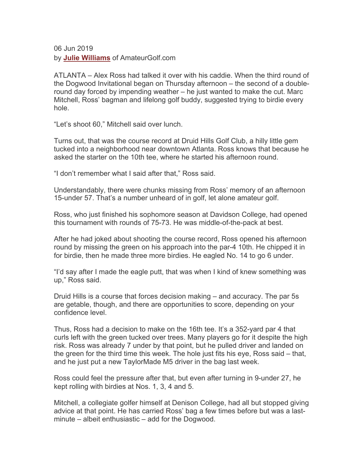06 Jun 2019 by **Julie Williams** of AmateurGolf.com

ATLANTA – Alex Ross had talked it over with his caddie. When the third round of the Dogwood Invitational began on Thursday afternoon – the second of a doubleround day forced by impending weather – he just wanted to make the cut. Marc Mitchell, Ross' bagman and lifelong golf buddy, suggested trying to birdie every hole.

"Let's shoot 60," Mitchell said over lunch.

Turns out, that was the course record at Druid Hills Golf Club, a hilly little gem tucked into a neighborhood near downtown Atlanta. Ross knows that because he asked the starter on the 10th tee, where he started his afternoon round.

"I don't remember what I said after that," Ross said.

Understandably, there were chunks missing from Ross' memory of an afternoon 15-under 57. That's a number unheard of in golf, let alone amateur golf.

Ross, who just finished his sophomore season at Davidson College, had opened this tournament with rounds of 75-73. He was middle-of-the-pack at best.

After he had joked about shooting the course record, Ross opened his afternoon round by missing the green on his approach into the par-4 10th. He chipped it in for birdie, then he made three more birdies. He eagled No. 14 to go 6 under.

"I'd say after I made the eagle putt, that was when I kind of knew something was up," Ross said.

Druid Hills is a course that forces decision making – and accuracy. The par 5s are getable, though, and there are opportunities to score, depending on your confidence level.

Thus, Ross had a decision to make on the 16th tee. It's a 352-yard par 4 that curls left with the green tucked over trees. Many players go for it despite the high risk. Ross was already 7 under by that point, but he pulled driver and landed on the green for the third time this week. The hole just fits his eye, Ross said – that, and he just put a new TaylorMade M5 driver in the bag last week.

Ross could feel the pressure after that, but even after turning in 9-under 27, he kept rolling with birdies at Nos. 1, 3, 4 and 5.

Mitchell, a collegiate golfer himself at Denison College, had all but stopped giving advice at that point. He has carried Ross' bag a few times before but was a lastminute – albeit enthusiastic – add for the Dogwood.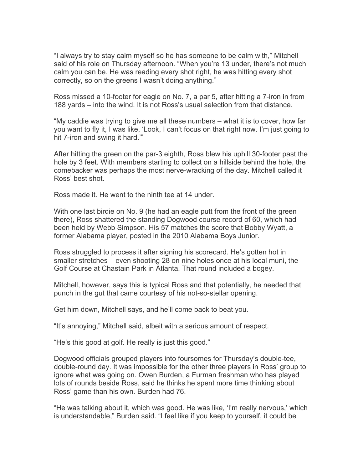"I always try to stay calm myself so he has someone to be calm with," Mitchell said of his role on Thursday afternoon. "When you're 13 under, there's not much calm you can be. He was reading every shot right, he was hitting every shot correctly, so on the greens I wasn't doing anything."

Ross missed a 10-footer for eagle on No. 7, a par 5, after hitting a 7-iron in from 188 yards – into the wind. It is not Ross's usual selection from that distance.

"My caddie was trying to give me all these numbers – what it is to cover, how far you want to fly it, I was like, 'Look, I can't focus on that right now. I'm just going to hit 7-iron and swing it hard.'"

After hitting the green on the par-3 eighth, Ross blew his uphill 30-footer past the hole by 3 feet. With members starting to collect on a hillside behind the hole, the comebacker was perhaps the most nerve-wracking of the day. Mitchell called it Ross' best shot.

Ross made it. He went to the ninth tee at 14 under.

With one last birdie on No. 9 (he had an eagle putt from the front of the green there), Ross shattered the standing Dogwood course record of 60, which had been held by Webb Simpson. His 57 matches the score that Bobby Wyatt, a former Alabama player, posted in the 2010 Alabama Boys Junior.

Ross struggled to process it after signing his scorecard. He's gotten hot in smaller stretches – even shooting 28 on nine holes once at his local muni, the Golf Course at Chastain Park in Atlanta. That round included a bogey.

Mitchell, however, says this is typical Ross and that potentially, he needed that punch in the gut that came courtesy of his not-so-stellar opening.

Get him down, Mitchell says, and he'll come back to beat you.

"It's annoying," Mitchell said, albeit with a serious amount of respect.

"He's this good at golf. He really is just this good."

Dogwood officials grouped players into foursomes for Thursday's double-tee, double-round day. It was impossible for the other three players in Ross' group to ignore what was going on. Owen Burden, a Furman freshman who has played lots of rounds beside Ross, said he thinks he spent more time thinking about Ross' game than his own. Burden had 76.

"He was talking about it, which was good. He was like, 'I'm really nervous,' which is understandable," Burden said. "I feel like if you keep to yourself, it could be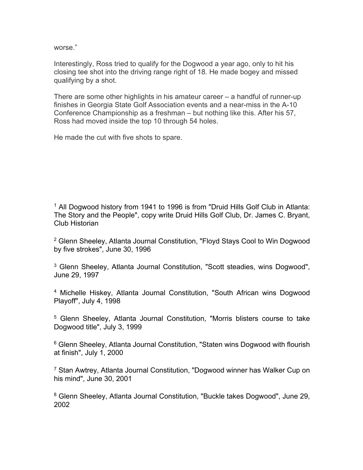worse."

Interestingly, Ross tried to qualify for the Dogwood a year ago, only to hit his closing tee shot into the driving range right of 18. He made bogey and missed qualifying by a shot.

There are some other highlights in his amateur career – a handful of runner-up finishes in Georgia State Golf Association events and a near-miss in the A-10 Conference Championship as a freshman – but nothing like this. After his 57, Ross had moved inside the top 10 through 54 holes.

He made the cut with five shots to spare.

<sup>1</sup> All Dogwood history from 1941 to 1996 is from "Druid Hills Golf Club in Atlanta: The Story and the People", copy write Druid Hills Golf Club, Dr. James C. Bryant, Club Historian

<sup>2</sup> Glenn Sheeley, Atlanta Journal Constitution, "Floyd Stays Cool to Win Dogwood by five strokes", June 30, 1996

<sup>3</sup> Glenn Sheeley, Atlanta Journal Constitution, "Scott steadies, wins Dogwood", June 29, 1997

<sup>4</sup> Michelle Hiskey, Atlanta Journal Constitution, "South African wins Dogwood Playoff", July 4, 1998

<sup>5</sup> Glenn Sheeley, Atlanta Journal Constitution, "Morris blisters course to take Dogwood title", July 3, 1999

<sup>6</sup> Glenn Sheeley, Atlanta Journal Constitution, "Staten wins Dogwood with flourish at finish", July 1, 2000

<sup>7</sup> Stan Awtrey, Atlanta Journal Constitution, "Dogwood winner has Walker Cup on his mind", June 30, 2001

<sup>8</sup> Glenn Sheeley, Atlanta Journal Constitution, "Buckle takes Dogwood", June 29, 2002